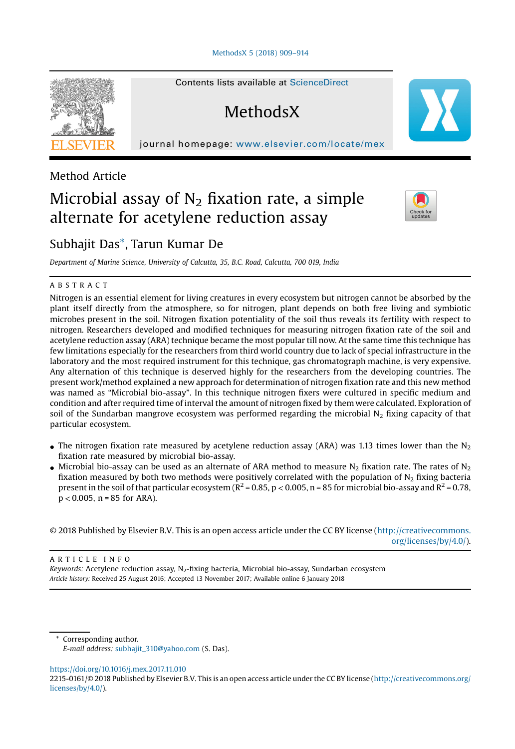[MethodsX](https://doi.org/10.1016/j.mex.2017.11.010) 5 (2018) 909–914

**MethodsX** 

Contents lists available at ScienceDirect

journal homepage: <www.elsevier.com/locate/mex>



Method Article

# Microbial assay of  $N<sub>2</sub>$  fixation rate, a simple alternate for acetylene reduction assay



# Subhajit Das\*, Tarun Kumar De

Department of Marine Science, University of Calcutta, 35, B.C. Road, Calcutta, 700 019, India

### A B S T R A C T

Nitrogen is an essential element for living creatures in every ecosystem but nitrogen cannot be absorbed by the plant itself directly from the atmosphere, so for nitrogen, plant depends on both free living and symbiotic microbes present in the soil. Nitrogen fixation potentiality of the soil thus reveals its fertility with respect to nitrogen. Researchers developed and modified techniques for measuring nitrogen fixation rate of the soil and acetylene reduction assay (ARA) technique became the most popular till now. At the same time this technique has few limitations especially for the researchers from third world country due to lack of special infrastructure in the laboratory and the most required instrument for this technique, gas chromatograph machine, is very expensive. Any alternation of this technique is deserved highly for the researchers from the developing countries. The present work/method explained a new approach for determination of nitrogen fixation rate and this new method was named as "Microbial bio-assay". In this technique nitrogen fixers were cultured in specific medium and condition and after required time of interval the amount of nitrogen fixed by them were calculated. Exploration of soil of the Sundarban mangrove ecosystem was performed regarding the microbial  $N<sub>2</sub>$  fixing capacity of that particular ecosystem.

- The nitrogen fixation rate measured by acetylene reduction assay (ARA) was 1.13 times lower than the  $N_2$ fixation rate measured by microbial bio-assay.
- $\bullet$  Microbial bio-assay can be used as an alternate of ARA method to measure N<sub>2</sub> fixation rate. The rates of N<sub>2</sub> fixation measured by both two methods were positively correlated with the population of  $N<sub>2</sub>$  fixing bacteria present in the soil of that particular ecosystem ( $R^2$  = 0.85, p < 0.005, n = 85 for microbial bio-assay and  $R^2$  = 0.78,  $p < 0.005$ ,  $n = 85$  for ARA).

© 2018 Published by Elsevier B.V. This is an open access article under the CC BY license ([http://creativecommons.](http://creativecommons.org/licenses/by/4.0/) [org/licenses/by/4.0/](http://creativecommons.org/licenses/by/4.0/)).

A R T I C L E I N F O

Keywords: Acetylene reduction assay,  $N_2$ -fixing bacteria, Microbial bio-assay, Sundarban ecosystem Article history: Received 25 August 2016; Accepted 13 November 2017; Available online 6 January 2018

Corresponding author. E-mail address: [subhajit\\_310@yahoo.com](mailto:subhajit_310@yahoo.com) (S. Das).

<https://doi.org/10.1016/j.mex.2017.11.010>

<sup>2215-0161/©</sup> 2018 Published by Elsevier B.V. This is an open access article under the CC BY license ([http://creativecommons.org/](http://creativecommons.org/licenses/by/4.0/) [licenses/by/4.0/](http://creativecommons.org/licenses/by/4.0/)).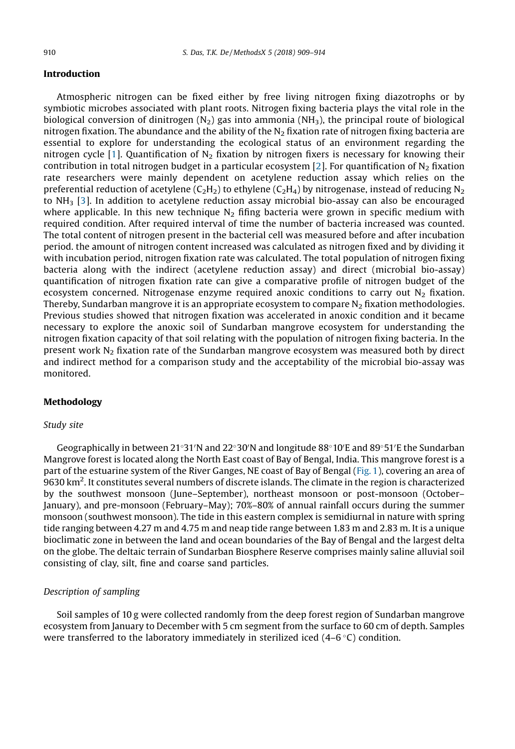#### Introduction

Atmospheric nitrogen can be fixed either by free living nitrogen fixing diazotrophs or by symbiotic microbes associated with plant roots. Nitrogen fixing bacteria plays the vital role in the biological conversion of dinitrogen (N<sub>2</sub>) gas into ammonia (NH<sub>3</sub>), the principal route of biological nitrogen fixation. The abundance and the ability of the  $N<sub>2</sub>$  fixation rate of nitrogen fixing bacteria are essential to explore for understanding the ecological status of an environment regarding the nitrogen cycle [\[1](#page-5-0)]. Quantification of  $N<sub>2</sub>$  fixation by nitrogen fixers is necessary for knowing their contribution in total nitrogen budget in a particular ecosystem [\[2](#page-5-0)]. For quantification of  $N_2$  fixation rate researchers were mainly dependent on acetylene reduction assay which relies on the preferential reduction of acetylene (C<sub>2</sub>H<sub>2</sub>) to ethylene (C<sub>2</sub>H<sub>4</sub>) by nitrogenase, instead of reducing N<sub>2</sub> to  $NH<sub>3</sub>$  [\[3](#page-5-0)]. In addition to acetylene reduction assay microbial bio-assay can also be encouraged where applicable. In this new technique  $N<sub>2</sub>$  fifing bacteria were grown in specific medium with required condition. After required interval of time the number of bacteria increased was counted. The total content of nitrogen present in the bacterial cell was measured before and after incubation period. the amount of nitrogen content increased was calculated as nitrogen fixed and by dividing it with incubation period, nitrogen fixation rate was calculated. The total population of nitrogen fixing bacteria along with the indirect (acetylene reduction assay) and direct (microbial bio-assay) quantification of nitrogen fixation rate can give a comparative profile of nitrogen budget of the ecosystem concerned. Nitrogenase enzyme required anoxic conditions to carry out  $N<sub>2</sub>$  fixation. Thereby, Sundarban mangrove it is an appropriate ecosystem to compare  $N<sub>2</sub>$  fixation methodologies. Previous studies showed that nitrogen fixation was accelerated in anoxic condition and it became necessary to explore the anoxic soil of Sundarban mangrove ecosystem for understanding the nitrogen fixation capacity of that soil relating with the population of nitrogen fixing bacteria. In the present work  $N_2$  fixation rate of the Sundarban mangrove ecosystem was measured both by direct and indirect method for a comparison study and the acceptability of the microbial bio-assay was monitored.

#### Methodology

#### Study site

Geographically in between 21°31′N and 22°30′N and longitude 88°10′E and 89°51′E the Sundarban Mangrove forest is located along the North East coast of Bay of Bengal, India. This mangrove forest is a part of the estuarine system of the River Ganges, NE coast of Bay of Bengal [\(Fig.](#page-2-0) 1), covering an area of 9630 km<sup>2</sup> . It constitutes several numbers of discrete islands. The climate in the region is characterized by the southwest monsoon (June–September), northeast monsoon or post-monsoon (October– January), and pre-monsoon (February–May); 70%–80% of annual rainfall occurs during the summer monsoon (southwest monsoon). The tide in this eastern complex is semidiurnal in nature with spring tide ranging between 4.27 m and 4.75 m and neap tide range between 1.83 m and 2.83 m. It is a unique bioclimatic zone in between the land and ocean boundaries of the Bay of Bengal and the largest delta on the globe. The deltaic terrain of Sundarban Biosphere Reserve comprises mainly saline alluvial soil consisting of clay, silt, fine and coarse sand particles.

## Description of sampling

Soil samples of 10 g were collected randomly from the deep forest region of Sundarban mangrove ecosystem from January to December with 5 cm segment from the surface to 60 cm of depth. Samples were transferred to the laboratory immediately in sterilized iced  $(4-6\degree C)$  condition.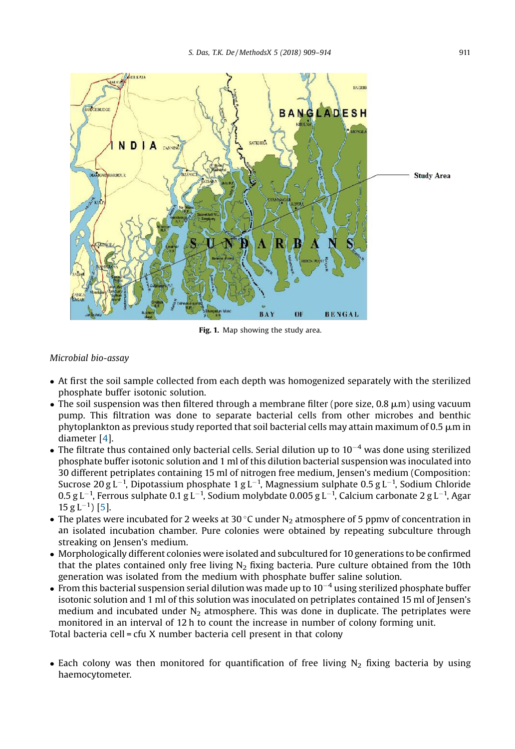<span id="page-2-0"></span>

Fig. 1. Map showing the study area.

#### Microbial bio-assay

- At first the soil sample collected from each depth was homogenized separately with the sterilized phosphate buffer isotonic solution.
- $\bullet$  The soil suspension was then filtered through a membrane filter (pore size, 0.8  $\mu$ m) using vacuum pump. This filtration was done to separate bacterial cells from other microbes and benthic phytoplankton as previous study reported that soil bacterial cells may attain maximum of  $0.5 \mu m$  in diameter [\[4](#page-5-0)].
- The filtrate thus contained only bacterial cells. Serial dilution up to  $10^{-4}$  was done using sterilized phosphate buffer isotonic solution and 1 ml of this dilution bacterial suspension was inoculated into 30 different petriplates containing 15 ml of nitrogen free medium, Jensen's medium (Composition: Sucrose 20 g L $^{-1}$ , Dipotassium phosphate 1 g L $^{-1}$ , Magnessium sulphate 0.5 g L $^{-1}$ , Sodium Chloride  $0.5$  g L $^{-1}$ , Ferrous sulphate  $0.1$  g L $^{-1}$ , Sodium molybdate  $0.005$  g L $^{-1}$ , Calcium carbonate 2 g L $^{-1}$ , Agar  $15 g L^{-1}$ ) [\[5](#page-5-0)].
- The plates were incubated for 2 weeks at 30 °C under  $N<sub>2</sub>$  atmosphere of 5 ppmv of concentration in an isolated incubation chamber. Pure colonies were obtained by repeating subculture through streaking on Jensen's medium.
- Morphologically different colonies were isolated and subcultured for <sup>10</sup> generations to be confirmed that the plates contained only free living  $N<sub>2</sub>$  fixing bacteria. Pure culture obtained from the 10th generation was isolated from the medium with phosphate buffer saline solution.
- From this bacterial suspension serial dilution was made up to  $10^{-4}$  using sterilized phosphate buffer isotonic solution and 1 ml of this solution was inoculated on petriplates contained 15 ml of Jensen's medium and incubated under  $N_2$  atmosphere. This was done in duplicate. The petriplates were monitored in an interval of 12 h to count the increase in number of colony forming unit.

Total bacteria cell = cfu X number bacteria cell present in that colony

• Each colony was then monitored for quantification of free living  $N<sub>2</sub>$  fixing bacteria by using haemocytometer.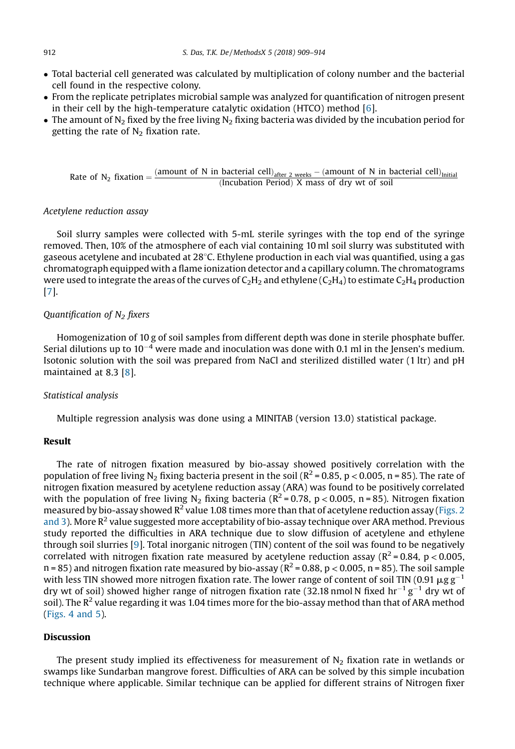- Total bacterial cell generated was calculated by multiplication of colony number and the bacterial cell found in the respective colony.
- From the replicate petriplates microbial sample was analyzed for quantification of nitrogen present in their cell by the high-temperature catalytic oxidation (HTCO) method [[6](#page-5-0)].
- The amount of N<sub>2</sub> fixed by the free living N<sub>2</sub> fixing bacteria was divided by the incubation period for getting the rate of  $N<sub>2</sub>$  fixation rate.

Rate of N<sub>2</sub> fixation =  $\frac{(amount of N in bacterial cell)_{after 2 weeks} - (amount of N in bacterial cell)_{initial}}{$ (Incubation Period) X mass of dry wt of soil

#### Acetylene reduction assay

Soil slurry samples were collected with 5-mL sterile syringes with the top end of the syringe removed. Then, 10% of the atmosphere of each vial containing 10 ml soil slurry was substituted with gaseous acetylene and incubated at 28 C. Ethylene production in each vial was quantified, using a gas chromatograph equipped with a flame ionization detector and a capillary column. The chromatograms were used to integrate the areas of the curves of  $C_2H_2$  and ethylene ( $C_2H_4$ ) to estimate  $C_2H_4$  production [[7](#page-5-0)].

# Quantification of  $N_2$  fixers

Homogenization of 10 g of soil samples from different depth was done in sterile phosphate buffer. Serial dilutions up to  $10^{-4}$  were made and inoculation was done with 0.1 ml in the Jensen's medium. Isotonic solution with the soil was prepared from NaCl and sterilized distilled water (1 ltr) and pH maintained at 8.3 [[8](#page-5-0)].

#### Statistical analysis

Multiple regression analysis was done using a MINITAB (version 13.0) statistical package.

#### Result

The rate of nitrogen fixation measured by bio-assay showed positively correlation with the population of free living N<sub>2</sub> fixing bacteria present in the soil ( $R^2$  = 0.85, p < 0.005, n = 85). The rate of nitrogen fixation measured by acetylene reduction assay (ARA) was found to be positively correlated with the population of free living N<sub>2</sub> fixing bacteria ( $R^2$  = 0.78, p < 0.005, n = 85). Nitrogen fixation measured by bio-assay showed  $R^2$  value 1.08 times more than that of acetylene reduction assay [\(Figs.](#page-4-0) 2 [and](#page-4-0) 3). More  $R^2$  value suggested more acceptability of bio-assay technique over ARA method. Previous study reported the difficulties in ARA technique due to slow diffusion of acetylene and ethylene through soil slurries [[9](#page-5-0)]. Total inorganic nitrogen (TIN) content of the soil was found to be negatively correlated with nitrogen fixation rate measured by acetylene reduction assay ( $R^2 = 0.84$ ,  $p < 0.005$ ,  $n = 85$ ) and nitrogen fixation rate measured by bio-assay ( $R^2 = 0.88$ ,  $p < 0.005$ ,  $n = 85$ ). The soil sample with less TIN showed more nitrogen fixation rate. The lower range of content of soil TIN (0.91  $\mu$ g g<sup>-1</sup> dry wt of soil) showed higher range of nitrogen fixation rate (32.18 nmol N fixed hr<sup>-1</sup> g<sup>-1</sup> dry wt of soil). The  $R^2$  value regarding it was 1.04 times more for the bio-assay method than that of ARA method ([Figs.](#page-4-0) 4 and 5).

#### Discussion

The present study implied its effectiveness for measurement of  $N_2$  fixation rate in wetlands or swamps like Sundarban mangrove forest. Difficulties of ARA can be solved by this simple incubation technique where applicable. Similar technique can be applied for different strains of Nitrogen fixer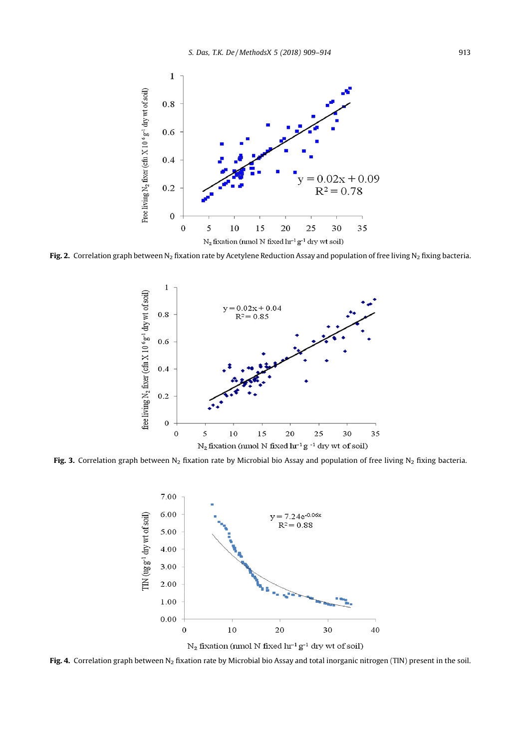<span id="page-4-0"></span>

Fig. 2. Correlation graph between N<sub>2</sub> fixation rate by Acetylene Reduction Assay and population of free living N<sub>2</sub> fixing bacteria.



Fig. 3. Correlation graph between N<sub>2</sub> fixation rate by Microbial bio Assay and population of free living N<sub>2</sub> fixing bacteria.



Fig. 4. Correlation graph between  $N_2$  fixation rate by Microbial bio Assay and total inorganic nitrogen (TIN) present in the soil.